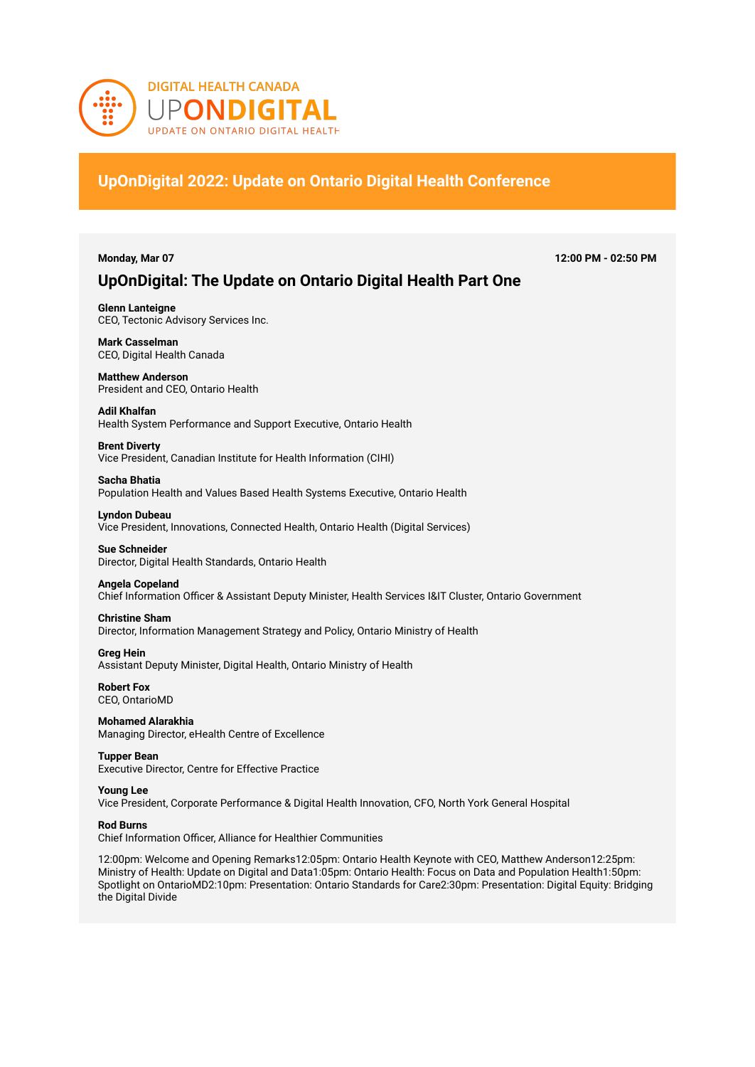

# **UpOnDigital 2022: Update on Ontario Digital Health Conference**

**Monday, Mar 07 12:00 PM - 02:50 PM**

# **UpOnDigital: The Update on Ontario Digital Health Part One**

**Glenn Lanteigne**  CEO, Tectonic Advisory Services Inc.

**Mark Casselman**  CEO, Digital Health Canada

**Matthew Anderson**  President and CEO, Ontario Health

**Adil Khalfan**  Health System Performance and Support Executive, Ontario Health

**Brent Diverty**  Vice President, Canadian Institute for Health Information (CIHI)

**Sacha Bhatia**  Population Health and Values Based Health Systems Executive, Ontario Health

Vice President, Innovations, Connected Health, Ontario Health (Digital Services) **Sue Schneider** 

Director, Digital Health Standards, Ontario Health

### **Angela Copeland**

**Lyndon Dubeau** 

Chief Information Officer & Assistant Deputy Minister, Health Services I&IT Cluster, Ontario Government

**Christine Sham**  Director, Information Management Strategy and Policy, Ontario Ministry of Health

**Greg Hein**  Assistant Deputy Minister, Digital Health, Ontario Ministry of Health

**Robert Fox**  CEO, OntarioMD

**Mohamed Alarakhia**  Managing Director, eHealth Centre of Excellence

**Tupper Bean**  Executive Director, Centre for Effective Practice

**Young Lee**  Vice President, Corporate Performance & Digital Health Innovation, CFO, North York General Hospital

**Rod Burns**  Chief Information Officer, Alliance for Healthier Communities

12:00pm: Welcome and Opening Remarks12:05pm: Ontario Health Keynote with CEO, Matthew Anderson12:25pm: Ministry of Health: Update on Digital and Data1:05pm: Ontario Health: Focus on Data and Population Health1:50pm: Spotlight on OntarioMD2:10pm: Presentation: Ontario Standards for Care2:30pm: Presentation: Digital Equity: Bridging the Digital Divide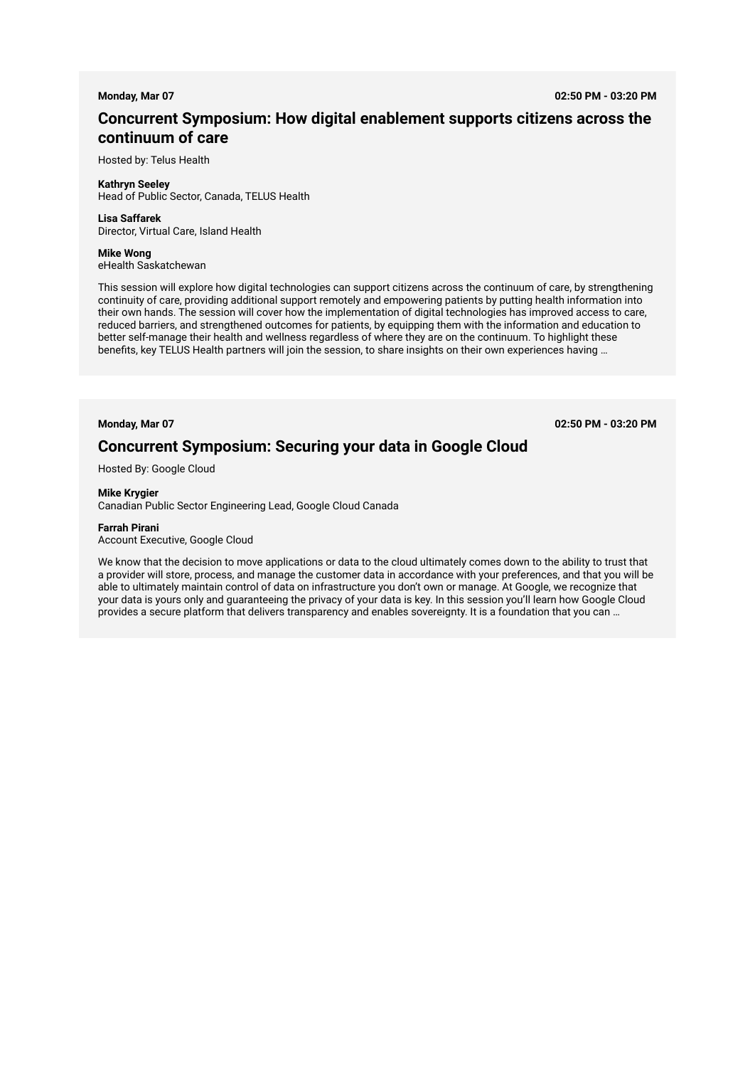**Monday, Mar 07 02:50 PM - 03:20 PM**

# **Concurrent Symposium: How digital enablement supports citizens across the continuum of care**

Hosted by: Telus Health

### **Kathryn Seeley**

Head of Public Sector, Canada, TELUS Health

### **Lisa Saffarek**  Director, Virtual Care, Island Health

### **Mike Wong**

eHealth Saskatchewan

This session will explore how digital technologies can support citizens across the continuum of care, by strengthening continuity of care, providing additional support remotely and empowering patients by putting health information into their own hands. The session will cover how the implementation of digital technologies has improved access to care, reduced barriers, and strengthened outcomes for patients, by equipping them with the information and education to better self-manage their health and wellness regardless of where they are on the continuum. To highlight these benefits, key TELUS Health partners will join the session, to share insights on their own experiences having …

**Monday, Mar 07 02:50 PM - 03:20 PM**

## **Concurrent Symposium: Securing your data in Google Cloud**

Hosted By: Google Cloud

### **Mike Krygier**

Canadian Public Sector Engineering Lead, Google Cloud Canada

### **Farrah Pirani**

Account Executive, Google Cloud

We know that the decision to move applications or data to the cloud ultimately comes down to the ability to trust that a provider will store, process, and manage the customer data in accordance with your preferences, and that you will be able to ultimately maintain control of data on infrastructure you don't own or manage. At Google, we recognize that your data is yours only and guaranteeing the privacy of your data is key. In this session you'll learn how Google Cloud provides a secure platform that delivers transparency and enables sovereignty. It is a foundation that you can …